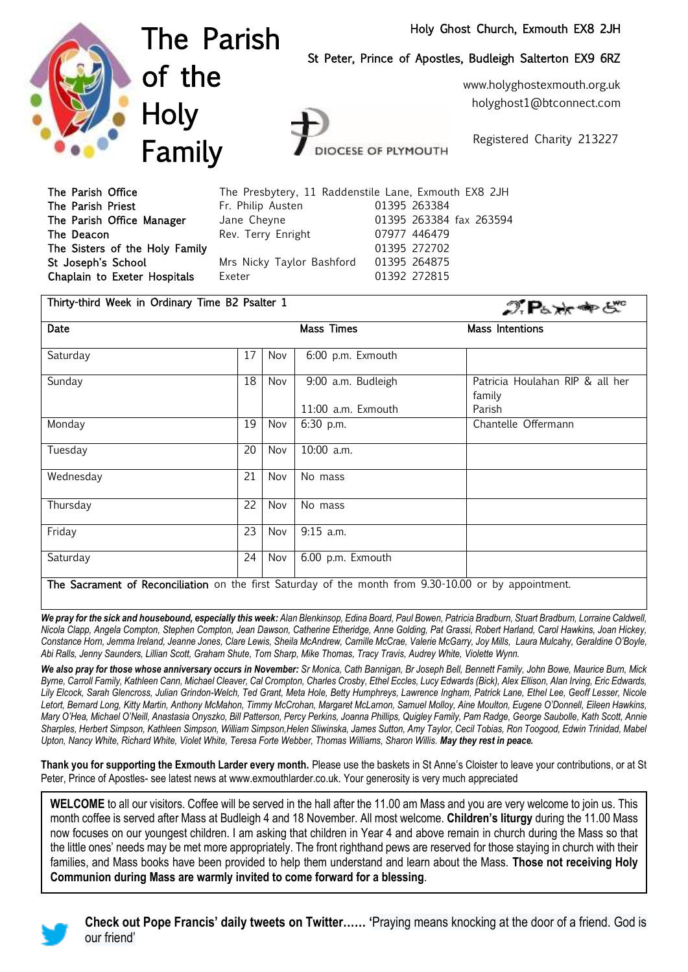## Holy Ghost Church, Exmouth EX8 2JH



The Parish of the **Holy** Family

St Peter, Prince of Apostles, Budleigh Salterton EX9 6RZ

www.holyghostexmouth.org.uk holyghost1@btconnect.com

Registered Charity 213227

 $\mathcal{D}$   $\mathbf{P}_k$   $\rightarrow$   $\rightarrow$   $\rightarrow$   $\rightarrow$   $\rightarrow$   $\rightarrow$   $\rightarrow$ 

The Parish Office The Presbytery, 11 Raddenstile Lane, Exmouth EX8 2JH The Parish Priest **Fr. Philip Austen** 61395 263384 The Parish Office Manager Jane Cheyne 01395 263384 fax 263594 The Deacon Rev. Terry Enright 07977 446479 The Sisters of the Holy Family 01395 272702 St Joseph's School Mrs Nicky Taylor Bashford 01395 264875 Chaplain to Exeter Hospitals Exeter **Exeter** 01392 272815

**DCESE OF PLYMOUTH** 

| Thirty-third Week in Ordinary Time B2 Psalter 1 |  |  |  |  |  |  |  |  |
|-------------------------------------------------|--|--|--|--|--|--|--|--|
|-------------------------------------------------|--|--|--|--|--|--|--|--|

|                                                                                                       |    |     |                    | .                                         |  |  |  |  |
|-------------------------------------------------------------------------------------------------------|----|-----|--------------------|-------------------------------------------|--|--|--|--|
| Date                                                                                                  |    |     | Mass Times         | Mass Intentions                           |  |  |  |  |
| Saturday                                                                                              | 17 | Nov | 6:00 p.m. Exmouth  |                                           |  |  |  |  |
| Sunday                                                                                                | 18 | Nov | 9:00 a.m. Budleigh | Patricia Houlahan RIP & all her<br>family |  |  |  |  |
|                                                                                                       |    |     | 11:00 a.m. Exmouth | Parish                                    |  |  |  |  |
| Monday                                                                                                | 19 | Nov | 6:30 p.m.          | Chantelle Offermann                       |  |  |  |  |
| Tuesday                                                                                               | 20 | Nov | 10:00 a.m.         |                                           |  |  |  |  |
| Wednesday                                                                                             | 21 | Nov | No mass            |                                           |  |  |  |  |
| Thursday                                                                                              | 22 | Nov | No mass            |                                           |  |  |  |  |
| Friday                                                                                                | 23 | Nov | $9:15$ a.m.        |                                           |  |  |  |  |
| Saturday                                                                                              | 24 | Nov | 6.00 p.m. Exmouth  |                                           |  |  |  |  |
| The Sacrament of Reconciliation on the first Saturday of the month from 9.30-10.00 or by appointment. |    |     |                    |                                           |  |  |  |  |

**The Sacrament of Reconciliation** on the first Saturday of the month from 9.30-10.00 or by appointment.

We pray for the sick and housebound, especially this week: Alan Blenkinsop, Edina Board, Paul Bowen, Patricia Bradburn, Stuart Bradburn, Lorraine Caldwell, *Nicola Clapp, Angela Compton, Stephen Compton, Jean Dawson, Catherine Etheridge, Anne Golding, Pat Grassi, Robert Harland, Carol Hawkins, Joan Hickey, Constance Horn, Jemma Ireland, Jeanne Jones, Clare Lewis, Sheila McAndrew, Camille McCrae, Valerie McGarry, Joy Mills, Laura Mulcahy, Geraldine O'Boyle, Abi Ralls, Jenny Saunders, Lillian Scott, Graham Shute, Tom Sharp, Mike Thomas, Tracy Travis, Audrey White, Violette Wynn.*

*We also pray for those whose anniversary occurs in November: Sr Monica, Cath Bannigan, Br Joseph Bell, Bennett Family, John Bowe, Maurice Burn, Mick Byrne, Carroll Family, Kathleen Cann, Michael Cleaver, Cal Crompton, Charles Crosby, Ethel Eccles, Lucy Edwards (Bick), Alex Ellison, Alan Irving, Eric Edwards,*  Lily Elcock, Sarah Glencross, Julian Grindon-Welch, Ted Grant, Meta Hole, Betty Humphreys, Lawrence Ingham, Patrick Lane, Ethel Lee, Geoff Lesser, Nicole *Letort, Bernard Long, Kitty Martin, Anthony McMahon, Timmy McCrohan, Margaret McLarnon, Samuel Molloy, Aine Moulton, Eugene O'Donnell, Eileen Hawkins, Mary O'Hea, Michael O'Neill, Anastasia Onyszko, Bill Patterson, Percy Perkins, Joanna Phillips, Quigley Family, Pam Radge, George Saubolle, Kath Scott, Annie Sharples, Herbert Simpson, Kathleen Simpson, William Simpson,Helen Sliwinska, James Sutton, Amy Taylor, Cecil Tobias, Ron Toogood, Edwin Trinidad, Mabel Upton, Nancy White, Richard White, Violet White, Teresa Forte Webber, Thomas Williams, Sharon Willis. May they rest in peace.* 

**Thank you for supporting the Exmouth Larder every month.** Please use the baskets in St Anne's Cloister to leave your contributions, or at St Peter, Prince of Apostles- see latest news at www.exmouthlarder.co.uk*.* [Your generosity is very much appreciated](http://www.exmouthlarder.co.uk/.%20Your%20generosity%20is%20very%20much%20appreciated%202017Sim)

**WELCOME** to all our visitors. Coffee will be served in the hall after the 11.00 am Mass and you are very welcome to join us. This month coffee is served after Mass at Budleigh 4 and 18 November. All most welcome. **Children's liturgy** during the 11.00 Mass now focuses on our youngest children. I am asking that children in Year 4 and above remain in church during the Mass so that the little ones' needs may be met more appropriately. The front righthand pews are reserved for those staying in church with their families, and Mass books have been provided to help them understand and learn about the Mass. **Those not receiving Holy Communion during Mass are warmly invited to come forward for a blessing**.



**Check out Pope Francis' daily tweets on Twitter…… '**Praying means knocking at the door of a friend. God is our friend'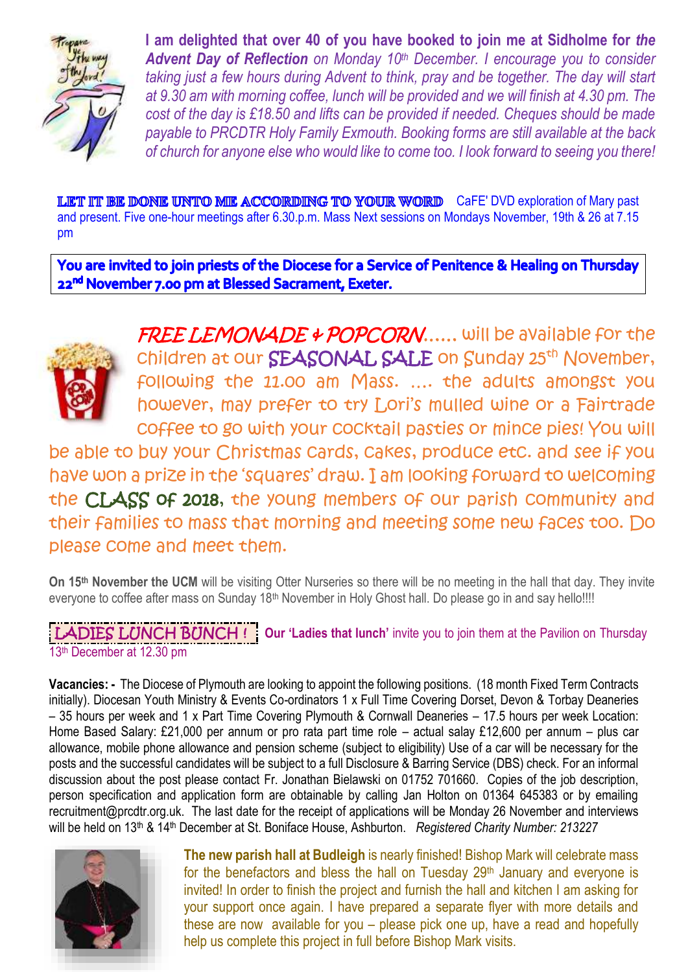

**I am delighted that over 40 of you have booked to join me at Sidholme for** *the Advent Day of Reflection on Monday 10th December. I encourage you to consider taking just a few hours during Advent to think, pray and be together. The day will start at 9.30 am with morning coffee, lunch will be provided and we will finish at 4.30 pm. The cost of the day is £18.50 and lifts can be provided if needed. Cheques should be made payable to PRCDTR Holy Family Exmouth. Booking forms are still available at the back of church for anyone else who would like to come too. I look forward to seeing you there!*

**LET IT BE DONE UNTO ME ACCORDING TO YOUR WORD** CaFE' DVD exploration of Mary past and present. Five one-hour meetings after 6.30.p.m. Mass Next sessions on Mondays November, 19th & 26 at 7.15 pm

You are invited to join priests of the Diocese for a Service of Penitence & Healing on Thursday 22<sup>nd</sup> November 7.00 pm at Blessed Sacrament, Exeter.



FREE LEMONADE & POPCORN..... will be available for the children at our SEASONAL SALE on Sunday 25<sup>th</sup> November, following the 11.00 am Mass. …. the adults amongst you however, may prefer to try Lori's mulled wine or a Fairtrade coffee to go with your cocktail pasties or mince pies! You will

be able to buy your Christmas cards, cakes, produce etc. and see if you have won a prize in the 'squares' draw. I am looking forward to welcoming the CLASS of 2018, the young members of our parish community and their families to mass that morning and meeting some new faces too. Do please come and meet them.

**On 15th November the UCM** will be visiting Otter Nurseries so there will be no meeting in the hall that day. They invite everyone to coffee after mass on Sunday 18<sup>th</sup> November in Holy Ghost hall. Do please go in and say hello!!!!

**LADIES LUNCH BUNCH!** Our 'Ladies that lunch' invite you to join them at the Pavilion on Thursday 13<sup>th</sup> December at 12.30 pm

**Vacancies: -** The Diocese of Plymouth are looking to appoint the following positions. (18 month Fixed Term Contracts initially). Diocesan Youth Ministry & Events Co-ordinators 1 x Full Time Covering Dorset, Devon & Torbay Deaneries – 35 hours per week and 1 x Part Time Covering Plymouth & Cornwall Deaneries – 17.5 hours per week Location: Home Based Salary: £21,000 per annum or pro rata part time role – actual salay £12,600 per annum – plus car allowance, mobile phone allowance and pension scheme (subject to eligibility) Use of a car will be necessary for the posts and the successful candidates will be subject to a full Disclosure & Barring Service (DBS) check. For an informal discussion about the post please contact Fr. Jonathan Bielawski on 01752 701660. Copies of the job description, person specification and application form are obtainable by calling Jan Holton on 01364 645383 or by emailing recruitment@prcdtr.org.uk. The last date for the receipt of applications will be Monday 26 November and interviews will be held on 13<sup>th</sup> & 14<sup>th</sup> December at St. Boniface House, Ashburton. *Registered Charity Number: 213227* 



**The new parish hall at Budleigh** is nearly finished! Bishop Mark will celebrate mass for the benefactors and bless the hall on Tuesday  $29<sup>th</sup>$  January and everyone is invited! In order to finish the project and furnish the hall and kitchen I am asking for your support once again. I have prepared a separate flyer with more details and these are now available for you – please pick one up, have a read and hopefully help us complete this project in full before Bishop Mark visits.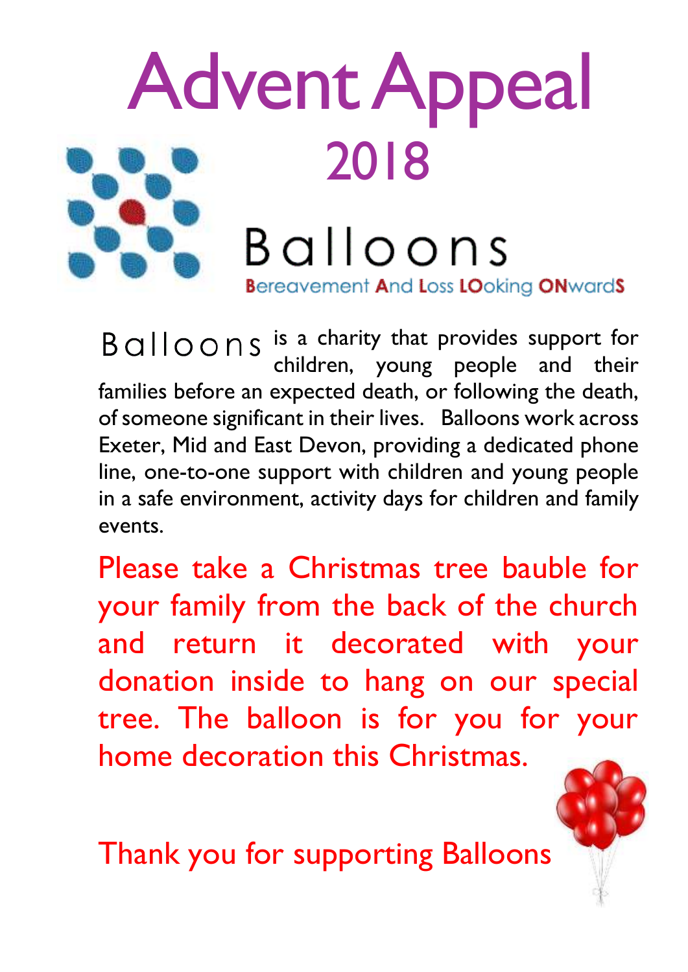

Balloons is a charity that provides support for children, young people and their families before an expected death, or following the death, of someone significant in their lives. Balloons work across Exeter, Mid and East Devon, providing a dedicated phone line, one-to-one support with children and young people in a safe environment, activity days for children and family events.

Please take a Christmas tree bauble for your family from the back of the church and return it decorated with your donation inside to hang on our special tree. The balloon is for you for your home decoration this Christmas.

Thank you for supporting Balloons